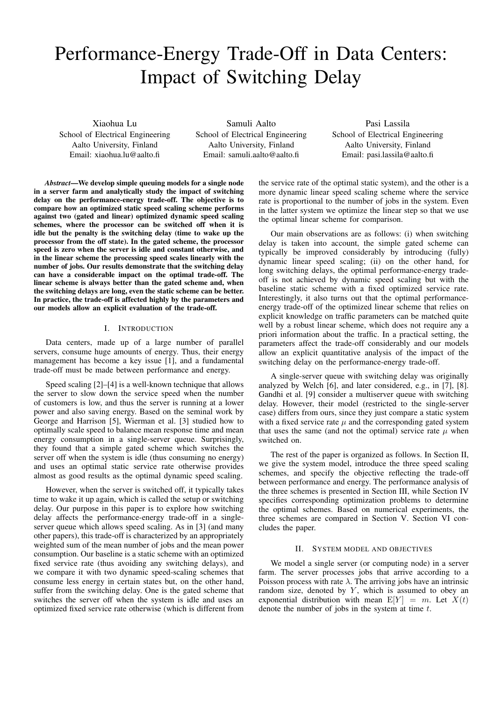# Performance-Energy Trade-Off in Data Centers: Impact of Switching Delay

Xiaohua Lu School of Electrical Engineering Aalto University, Finland Email: xiaohua.lu@aalto.fi

Samuli Aalto School of Electrical Engineering Aalto University, Finland Email: samuli.aalto@aalto.fi

Pasi Lassila School of Electrical Engineering Aalto University, Finland Email: pasi.lassila@aalto.fi

*Abstract*—We develop simple queuing models for a single node in a server farm and analytically study the impact of switching delay on the performance-energy trade-off. The objective is to compare how an optimized static speed scaling scheme performs against two (gated and linear) optimized dynamic speed scaling schemes, where the processor can be switched off when it is idle but the penalty is the switching delay (time to wake up the processor from the off state). In the gated scheme, the processor speed is zero when the server is idle and constant otherwise, and in the linear scheme the processing speed scales linearly with the number of jobs. Our results demonstrate that the switching delay can have a considerable impact on the optimal trade-off. The linear scheme is always better than the gated scheme and, when the switching delays are long, even the static scheme can be better. In practice, the trade-off is affected highly by the parameters and our models allow an explicit evaluation of the trade-off.

# I. INTRODUCTION

Data centers, made up of a large number of parallel servers, consume huge amounts of energy. Thus, their energy management has become a key issue [1], and a fundamental trade-off must be made between performance and energy.

Speed scaling [2]–[4] is a well-known technique that allows the server to slow down the service speed when the number of customers is low, and thus the server is running at a lower power and also saving energy. Based on the seminal work by George and Harrison [5], Wierman et al. [3] studied how to optimally scale speed to balance mean response time and mean energy consumption in a single-server queue. Surprisingly, they found that a simple gated scheme which switches the server off when the system is idle (thus consuming no energy) and uses an optimal static service rate otherwise provides almost as good results as the optimal dynamic speed scaling.

However, when the server is switched off, it typically takes time to wake it up again, which is called the setup or switching delay. Our purpose in this paper is to explore how switching delay affects the performance-energy trade-off in a singleserver queue which allows speed scaling. As in [3] (and many other papers), this trade-off is characterized by an appropriately weighted sum of the mean number of jobs and the mean power consumption. Our baseline is a static scheme with an optimized fixed service rate (thus avoiding any switching delays), and we compare it with two dynamic speed-scaling schemes that consume less energy in certain states but, on the other hand, suffer from the switching delay. One is the gated scheme that switches the server off when the system is idle and uses an optimized fixed service rate otherwise (which is different from the service rate of the optimal static system), and the other is a more dynamic linear speed scaling scheme where the service rate is proportional to the number of jobs in the system. Even in the latter system we optimize the linear step so that we use the optimal linear scheme for comparison.

Our main observations are as follows: (i) when switching delay is taken into account, the simple gated scheme can typically be improved considerably by introducing (fully) dynamic linear speed scaling; (ii) on the other hand, for long switching delays, the optimal performance-energy tradeoff is not achieved by dynamic speed scaling but with the baseline static scheme with a fixed optimized service rate. Interestingly, it also turns out that the optimal performanceenergy trade-off of the optimized linear scheme that relies on explicit knowledge on traffic parameters can be matched quite well by a robust linear scheme, which does not require any a priori information about the traffic. In a practical setting, the parameters affect the trade-off considerably and our models allow an explicit quantitative analysis of the impact of the switching delay on the performance-energy trade-off.

A single-server queue with switching delay was originally analyzed by Welch [6], and later considered, e.g., in [7], [8]. Gandhi et al. [9] consider a multiserver queue with switching delay. However, their model (restricted to the single-server case) differs from ours, since they just compare a static system with a fixed service rate  $\mu$  and the corresponding gated system that uses the same (and not the optimal) service rate  $\mu$  when switched on.

The rest of the paper is organized as follows. In Section II, we give the system model, introduce the three speed scaling schemes, and specify the objective reflecting the trade-off between performance and energy. The performance analysis of the three schemes is presented in Section III, while Section IV specifies corresponding optimization problems to determine the optimal schemes. Based on numerical experiments, the three schemes are compared in Section V. Section VI concludes the paper.

#### II. SYSTEM MODEL AND OBJECTIVES

We model a single server (or computing node) in a server farm. The server processes jobs that arrive according to a Poisson process with rate  $\lambda$ . The arriving jobs have an intrinsic random size, denoted by  $Y$ , which is assumed to obey an exponential distribution with mean  $E[Y] = m$ . Let  $X(t)$ denote the number of jobs in the system at time  $t$ .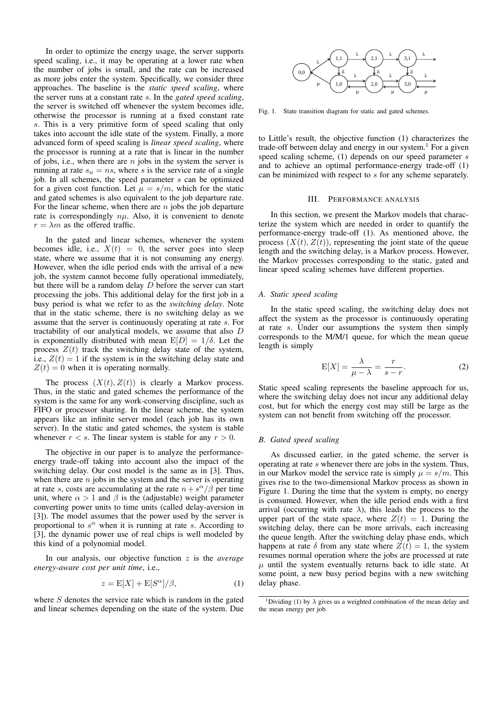In order to optimize the energy usage, the server supports speed scaling, i.e., it may be operating at a lower rate when the number of jobs is small, and the rate can be increased as more jobs enter the system. Specifically, we consider three approaches. The baseline is the *static speed scaling*, where the server runs at a constant rate s. In the *gated speed scaling*, the server is switched off whenever the system becomes idle, otherwise the processor is running at a fixed constant rate s. This is a very primitive form of speed scaling that only takes into account the idle state of the system. Finally, a more advanced form of speed scaling is *linear speed scaling*, where the processor is running at a rate that is linear in the number of jobs, i.e., when there are  $n$  jobs in the system the server is running at rate  $s_n = ns$ , where s is the service rate of a single job. In all schemes, the speed parameter s can be optimized for a given cost function. Let  $\mu = s/m$ , which for the static and gated schemes is also equivalent to the job departure rate. For the linear scheme, when there are  $n$  jobs the job departure rate is correspondingly  $n\mu$ . Also, it is convenient to denote  $r = \lambda m$  as the offered traffic.

In the gated and linear schemes, whenever the system becomes idle, i.e.,  $X(t) = 0$ , the server goes into sleep state, where we assume that it is not consuming any energy. However, when the idle period ends with the arrival of a new job, the system cannot become fully operational immediately, but there will be a random delay D before the server can start processing the jobs. This additional delay for the first job in a busy period is what we refer to as the *switching delay*. Note that in the static scheme, there is no switching delay as we assume that the server is continuously operating at rate s. For tractability of our analytical models, we assume that also D is exponentially distributed with mean  $E[D] = 1/\delta$ . Let the process  $Z(t)$  track the switching delay state of the system, i.e.,  $Z(t) = 1$  if the system is in the switching delay state and  $Z(t) = 0$  when it is operating normally.

The process  $(X(t), Z(t))$  is clearly a Markov process. Thus, in the static and gated schemes the performance of the system is the same for any work-conserving discipline, such as FIFO or processor sharing. In the linear scheme, the system appears like an infinite server model (each job has its own server). In the static and gated schemes, the system is stable whenever  $r < s$ . The linear system is stable for any  $r > 0$ .

The objective in our paper is to analyze the performanceenergy trade-off taking into account also the impact of the switching delay. Our cost model is the same as in [3]. Thus, when there are  $n$  jobs in the system and the server is operating at rate s, costs are accumulating at the rate  $n + s^{\alpha}/\beta$  per time unit, where  $\alpha > 1$  and  $\beta$  is the (adjustable) weight parameter converting power units to time units (called delay-aversion in [3]). The model assumes that the power used by the server is proportional to  $s^{\alpha}$  when it is running at rate s. According to [3], the dynamic power use of real chips is well modeled by this kind of a polynomial model.

In our analysis, our objective function z is the *average energy-aware cost per unit time*, i.e.,

$$
z = \mathcal{E}[X] + \mathcal{E}[S^{\alpha}]/\beta,\tag{1}
$$

where  $S$  denotes the service rate which is random in the gated and linear schemes depending on the state of the system. Due



Fig. 1. State transition diagram for static and gated schemes.

to Little's result, the objective function (1) characterizes the trade-off between delay and energy in our system.<sup>1</sup> For a given speed scaling scheme, (1) depends on our speed parameter s and to achieve an optimal performance-energy trade-off (1) can be minimized with respect to s for any scheme separately.

## III. PERFORMANCE ANALYSIS

In this section, we present the Markov models that characterize the system which are needed in order to quantify the performance-energy trade-off (1). As mentioned above, the process  $(X(t), Z(t))$ , representing the joint state of the queue length and the switching delay, is a Markov process. However, the Markov processes corresponding to the static, gated and linear speed scaling schemes have different properties.

### *A. Static speed scaling*

In the static speed scaling, the switching delay does not affect the system as the processor is continuously operating at rate s. Under our assumptions the system then simply corresponds to the M/M/1 queue, for which the mean queue length is simply

$$
E[X] = \frac{\lambda}{\mu - \lambda} = \frac{r}{s - r}.
$$
 (2)

Static speed scaling represents the baseline approach for us, where the switching delay does not incur any additional delay cost, but for which the energy cost may still be large as the system can not benefit from switching off the processor.

#### *B. Gated speed scaling*

As discussed earlier, in the gated scheme, the server is operating at rate s whenever there are jobs in the system. Thus, in our Markov model the service rate is simply  $\mu = s/m$ . This gives rise to the two-dimensional Markov process as shown in Figure 1. During the time that the system is empty, no energy is consumed. However, when the idle period ends with a first arrival (occurring with rate  $\lambda$ ), this leads the process to the upper part of the state space, where  $Z(t) = 1$ . During the switching delay, there can be more arrivals, each increasing the queue length. After the switching delay phase ends, which happens at rate  $\delta$  from any state where  $Z(t) = 1$ , the system resumes normal operation where the jobs are processed at rate  $\mu$  until the system eventually returns back to idle state. At some point, a new busy period begins with a new switching delay phase.

<sup>&</sup>lt;sup>1</sup>Dividing (1) by  $\lambda$  gives us a weighted combination of the mean delay and the mean energy per job.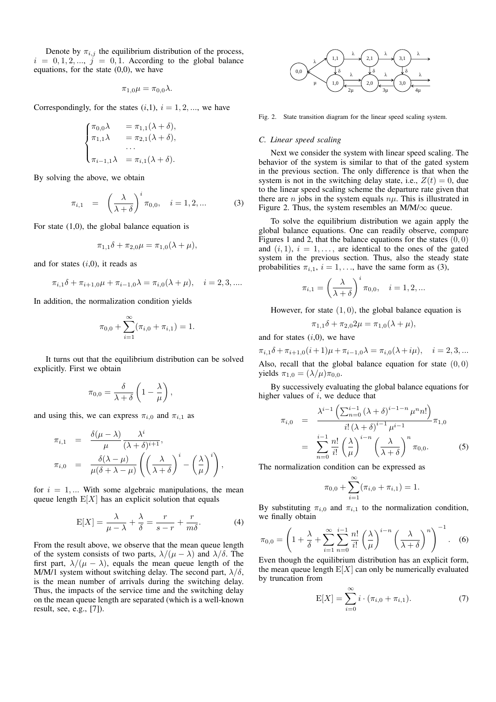Denote by  $\pi_{i,j}$  the equilibrium distribution of the process,  $i = 0, 1, 2, \dots$ ,  $\tilde{j} = 0, 1$ . According to the global balance equations, for the state  $(0,0)$ , we have

$$
\pi_{1,0}\mu = \pi_{0,0}\lambda.
$$

Correspondingly, for the states  $(i,1)$ ,  $i = 1, 2, \dots$ , we have

$$
\begin{cases}\n\pi_{0,0}\lambda &= \pi_{1,1}(\lambda + \delta), \\
\pi_{1,1}\lambda &= \pi_{2,1}(\lambda + \delta), \\
\vdots \\
\pi_{i-1,1}\lambda &= \pi_{i,1}(\lambda + \delta).\n\end{cases}
$$

By solving the above, we obtain

$$
\pi_{i,1} = \left(\frac{\lambda}{\lambda + \delta}\right)^i \pi_{0,0}, \quad i = 1, 2, ... \tag{3}
$$

For state  $(1,0)$ , the global balance equation is

$$
\pi_{1,1}\delta + \pi_{2,0}\mu = \pi_{1,0}(\lambda + \mu),
$$

and for states  $(i,0)$ , it reads as

$$
\pi_{i,1}\delta + \pi_{i+1,0}\mu + \pi_{i-1,0}\lambda = \pi_{i,0}(\lambda + \mu), \quad i = 2,3,...
$$

In addition, the normalization condition yields

$$
\pi_{0,0} + \sum_{i=1}^{\infty} (\pi_{i,0} + \pi_{i,1}) = 1.
$$

It turns out that the equilibrium distribution can be solved explicitly. First we obtain

$$
\pi_{0,0} = \frac{\delta}{\lambda + \delta} \left( 1 - \frac{\lambda}{\mu} \right),\,
$$

and using this, we can express  $\pi_{i,0}$  and  $\pi_{i,1}$  as

$$
\pi_{i,1} = \frac{\delta(\mu - \lambda)}{\mu} \frac{\lambda^{i}}{(\lambda + \delta)^{i+1}},
$$
  

$$
\pi_{i,0} = \frac{\delta(\lambda - \mu)}{\mu(\delta + \lambda - \mu)} \left( \left( \frac{\lambda}{\lambda + \delta} \right)^{i} - \left( \frac{\lambda}{\mu} \right)^{i} \right),
$$

for  $i = 1, \dots$  With some algebraic manipulations, the mean queue length  $E[X]$  has an explicit solution that equals

$$
E[X] = \frac{\lambda}{\mu - \lambda} + \frac{\lambda}{\delta} = \frac{r}{s - r} + \frac{r}{m\delta}.
$$
 (4)

From the result above, we observe that the mean queue length of the system consists of two parts,  $\lambda/(\mu - \lambda)$  and  $\lambda/\delta$ . The first part,  $\lambda/(\mu - \lambda)$ , equals the mean queue length of the M/M/1 system without switching delay. The second part,  $\lambda/\delta$ , is the mean number of arrivals during the switching delay. Thus, the impacts of the service time and the switching delay on the mean queue length are separated (which is a well-known result, see, e.g., [7]).



Fig. 2. State transition diagram for the linear speed scaling system.

### *C. Linear speed scaling*

Next we consider the system with linear speed scaling. The behavior of the system is similar to that of the gated system in the previous section. The only difference is that when the system is not in the switching delay state, i.e.,  $Z(t) = 0$ , due to the linear speed scaling scheme the departure rate given that there are *n* jobs in the system equals  $n\mu$ . This is illustrated in Figure 2. Thus, the system resembles an  $M/M/\infty$  queue.

To solve the equilibrium distribution we again apply the global balance equations. One can readily observe, compare Figures 1 and 2, that the balance equations for the states  $(0, 0)$ and  $(i, 1)$ ,  $i = 1, \ldots$ , are identical to the ones of the gated system in the previous section. Thus, also the steady state probabilities  $\pi_{i,1}$ ,  $i = 1, \ldots$ , have the same form as (3),

$$
\pi_{i,1} = \left(\frac{\lambda}{\lambda + \delta}\right)^i \pi_{0,0}, \quad i = 1, 2, \dots
$$

However, for state  $(1, 0)$ , the global balance equation is

$$
\pi_{1,1}\delta + \pi_{2,0}2\mu = \pi_{1,0}(\lambda + \mu),
$$

and for states  $(i,0)$ , we have

 $\pi_{i,1}\delta + \pi_{i+1,0}(i+1)\mu + \pi_{i-1,0}\lambda = \pi_{i,0}(\lambda + i\mu), \quad i = 2,3,...$ 

Also, recall that the global balance equation for state  $(0, 0)$ yields  $\pi_{1,0} = (\lambda/\mu)\pi_{0,0}$ .

By successively evaluating the global balance equations for higher values of  $i$ , we deduce that

$$
\pi_{i,0} = \frac{\lambda^{i-1} \left( \sum_{n=0}^{i-1} (\lambda + \delta)^{i-1-n} \mu^n n! \right)}{i! (\lambda + \delta)^{i-1} \mu^{i-1}} \pi_{1,0}
$$
\n
$$
= \sum_{n=0}^{i-1} \frac{n!}{i!} \left( \frac{\lambda}{\mu} \right)^{i-n} \left( \frac{\lambda}{\lambda + \delta} \right)^n \pi_{0,0}.
$$
\n(5)

The normalization condition can be expressed as

$$
\pi_{0,0} + \sum_{i=1}^{\infty} (\pi_{i,0} + \pi_{i,1}) = 1.
$$

By substituting  $\pi_{i,0}$  and  $\pi_{i,1}$  to the normalization condition, we finally obtain

$$
\pi_{0,0} = \left(1 + \frac{\lambda}{\delta} + \sum_{i=1}^{\infty} \sum_{n=0}^{i-1} \frac{n!}{i!} \left(\frac{\lambda}{\mu}\right)^{i-n} \left(\frac{\lambda}{\lambda + \delta}\right)^n\right)^{-1}.\tag{6}
$$

Even though the equilibrium distribution has an explicit form, the mean queue length  $E[X]$  can only be numerically evaluated by truncation from

$$
E[X] = \sum_{i=0}^{\infty} i \cdot (\pi_{i,0} + \pi_{i,1}).
$$
 (7)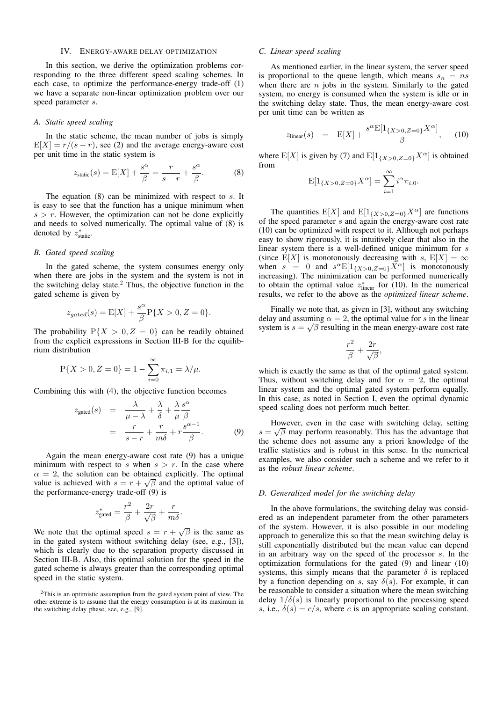## IV. ENERGY-AWARE DELAY OPTIMIZATION

In this section, we derive the optimization problems corresponding to the three different speed scaling schemes. In each case, to optimize the performance-energy trade-off (1) we have a separate non-linear optimization problem over our speed parameter s.

# *A. Static speed scaling*

In the static scheme, the mean number of jobs is simply  $E[X] = r/(s - r)$ , see (2) and the average energy-aware cost per unit time in the static system is

$$
z_{static}(s) = \mathbb{E}[X] + \frac{s^{\alpha}}{\beta} = \frac{r}{s-r} + \frac{s^{\alpha}}{\beta}.
$$
 (8)

The equation  $(8)$  can be minimized with respect to s. It is easy to see that the function has a unique minimum when  $s > r$ . However, the optimization can not be done explicitly and needs to solved numerically. The optimal value of (8) is denoted by  $z_{\text{static}}^*$ .

# *B. Gated speed scaling*

In the gated scheme, the system consumes energy only when there are jobs in the system and the system is not in the switching delay state.<sup>2</sup> Thus, the objective function in the gated scheme is given by

$$
z_{gated}(s) = \mathbf{E}[X] + \frac{s^{\alpha}}{\beta} \mathbf{P}\{X > 0, Z = 0\}.
$$

The probability  $P{X > 0, Z = 0}$  can be readily obtained from the explicit expressions in Section III-B for the equilibrium distribution

$$
P\{X > 0, Z = 0\} = 1 - \sum_{i=0}^{\infty} \pi_{i,1} = \lambda/\mu.
$$

Combining this with (4), the objective function becomes

$$
z_{\text{gated}}(s) = \frac{\lambda}{\mu - \lambda} + \frac{\lambda}{\delta} + \frac{\lambda}{\mu} \frac{s^{\alpha}}{\beta}
$$
  
= 
$$
\frac{r}{s - r} + \frac{r}{m\delta} + r \frac{s^{\alpha - 1}}{\beta}.
$$
 (9)

Again the mean energy-aware cost rate (9) has a unique minimum with respect to s when  $s > r$ . In the case where  $\alpha = 2$ , the solution can be obtained explicitly. The optimal value is achieved with  $s = r + \sqrt{\beta}$  and the optimal value of the performance-energy trade-off (9) is

$$
z_{\text{gated}}^* = \frac{r^2}{\beta} + \frac{2r}{\sqrt{\beta}} + \frac{r}{m\delta}.
$$

We note that the optimal speed  $s = r + \sqrt{\beta}$  is the same as in the gated system without switching delay (see, e.g., [3]), which is clearly due to the separation property discussed in Section III-B. Also, this optimal solution for the speed in the gated scheme is always greater than the corresponding optimal speed in the static system.

# *C. Linear speed scaling*

As mentioned earlier, in the linear system, the server speed is proportional to the queue length, which means  $s_n = ns$ when there are  $n$  jobs in the system. Similarly to the gated system, no energy is consumed when the system is idle or in the switching delay state. Thus, the mean energy-aware cost per unit time can be written as

$$
z_{\text{linear}}(s) = \mathbf{E}[X] + \frac{s^{\alpha} \mathbf{E}[1_{\{X>0,Z=0\}} X^{\alpha}]}{\beta}, \quad (10)
$$

where  $E[X]$  is given by (7) and  $E[1_{\{X>0,Z=0\}}X^{\alpha}]$  is obtained from

$$
E[1_{\{X>0,Z=0\}}X^{\alpha}] = \sum_{i=1}^{\infty} i^{\alpha} \pi_{i,0}.
$$

The quantities  $E[X]$  and  $E[1_{\{X>0,Z=0\}}X^{\alpha}]$  are functions of the speed parameter s and again the energy-aware cost rate (10) can be optimized with respect to it. Although not perhaps easy to show rigorously, it is intuitively clear that also in the linear system there is a well-defined unique minimum for s (since E[X] is monotonously decreasing with s,  $E[X] = \infty$ when  $s = 0$  and  $s^{\alpha} \mathbb{E}[1_{\{X>0,Z=0\}} X^{\alpha}]$  is monotonously increasing). The minimization can be performed numerically to obtain the optimal value  $z_{\text{linear}}^*$  for (10). In the numerical results, we refer to the above as the *optimized linear scheme*.

Finally we note that, as given in [3], without any switching delay and assuming  $\alpha = 2$ , the optimal value for s in the linear system is  $s = \sqrt{\beta}$  resulting in the mean energy-aware cost rate

$$
\frac{r^2}{\beta}+\frac{2r}{\sqrt{\beta}},
$$

which is exactly the same as that of the optimal gated system. Thus, without switching delay and for  $\alpha = 2$ , the optimal linear system and the optimal gated system perform equally. In this case, as noted in Section I, even the optimal dynamic speed scaling does not perform much better.

However, even in the case with switching delay, setting  $\sqrt{2}$  $s = \sqrt{\beta}$  may perform reasonably. This has the advantage that the scheme does not assume any a priori knowledge of the traffic statistics and is robust in this sense. In the numerical examples, we also consider such a scheme and we refer to it as the *robust linear scheme*.

#### *D. Generalized model for the switching delay*

In the above formulations, the switching delay was considered as an independent parameter from the other parameters of the system. However, it is also possible in our modeling approach to generalize this so that the mean switching delay is still exponentially distributed but the mean value can depend in an arbitrary way on the speed of the processor s. In the optimization formulations for the gated (9) and linear (10) systems, this simply means that the parameter  $\delta$  is replaced by a function depending on s, say  $\delta(s)$ . For example, it can be reasonable to consider a situation where the mean switching delay  $1/\delta(s)$  is linearly proportional to the processing speed s, i.e.,  $\delta(s) = c/s$ , where c is an appropriate scaling constant.

<sup>&</sup>lt;sup>2</sup>This is an optimistic assumption from the gated system point of view. The other extreme is to assume that the energy consumption is at its maximum in the switching delay phase, see, e.g., [9].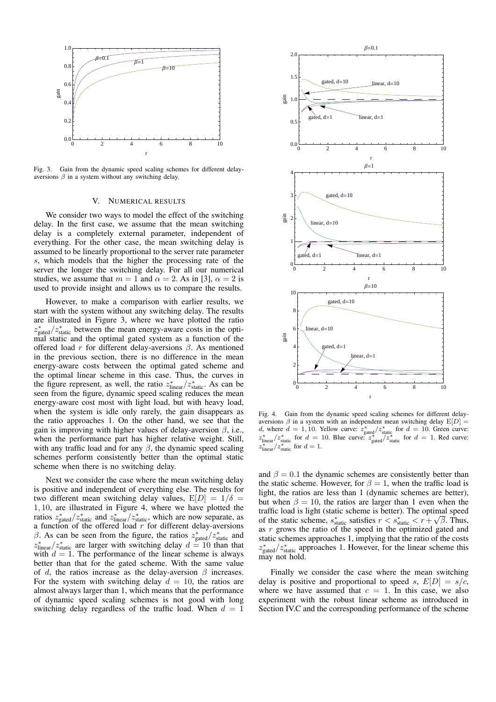

Fig. 3. Gain from the dynamic speed scaling schemes for different delayaversions  $\beta$  in a system without any switching delay.

## V. NUMERICAL RESULTS

We consider two ways to model the effect of the switching delay. In the first case, we assume that the mean switching delay is a completely external parameter, independent of everything. For the other case, the mean switching delay is assumed to be linearly proportional to the server rate parameter s, which models that the higher the processing rate of the server the longer the switching delay. For all our numerical studies, we assume that  $m = 1$  and  $\alpha = 2$ . As in [3],  $\alpha = 2$  is used to provide insight and allows us to compare the results.

However, to make a comparison with earlier results, we start with the system without any switching delay. The results are illustrated in Figure 3, where we have plotted the ratio  $z_{\text{gated}}^*/z_{\text{static}}^*$  between the mean energy-aware costs in the optimal static and the optimal gated system as a function of the offered load r for different delay-aversions  $\beta$ . As mentioned in the previous section, there is no difference in the mean energy-aware costs between the optimal gated scheme and the optimal linear scheme in this case. Thus, the curves in the figure represent, as well, the ratio  $z_{\text{linear}}^* / z_{\text{static}}^*$ . As can be seen from the figure, dynamic speed scaling reduces the mean energy-aware cost most with light load, but with heavy load, when the system is idle only rarely, the gain disappears as the ratio approaches 1. On the other hand, we see that the gain is improving with higher values of delay-aversion  $\beta$ , i.e., when the performance part has higher relative weight. Still, with any traffic load and for any  $\beta$ , the dynamic speed scaling schemes perform consistently better than the optimal static scheme when there is no switching delay.

Next we consider the case where the mean switching delay is positive and independent of everything else. The results for two different mean switching delay values,  $E[D] = 1/\delta =$ 1, 10, are illustrated in Figure 4, where we have plotted the ratios  $z_{\text{gated}}^* / z_{\text{static}}^*$  and  $z_{\text{linear}}^* / z_{\text{static}}^*$ , which are now separate, as a function of the offered load  $r$  for different delay-aversions β. As can be seen from the figure, the ratios  $z_{\text{gated}}^*/z_{\text{static}}^*$  and  $z_{\text{linear}}^* / z_{\text{static}}^*$  are larger with switching delay  $d = 10$  than that with  $d = 1$ . The performance of the linear scheme is always better than that for the gated scheme. With the same value of d, the ratios increase as the delay-aversion  $\beta$  increases. For the system with switching delay  $d = 10$ , the ratios are almost always larger than 1, which means that the performance of dynamic speed scaling schemes is not good with long switching delay regardless of the traffic load. When  $d = 1$ 



Fig. 4. Gain from the dynamic speed scaling schemes for different delayaversions β in a system with an independent mean switching delay  $E[D] =$ d, where  $d = 1, 10$ . Yellow curve:  $z_{\text{gated}}^* / z_{\text{static}}^*$  for  $d = 10$ . Green curve:  $z_{\text{linear}}^* / z_{\text{static}}^*$  for  $d = 1$ . Red curve:  $z_{\text{linear}}^* / z_{\text{static}}^*$  for  $d = 1$ .

and  $\beta = 0.1$  the dynamic schemes are consistently better than the static scheme. However, for  $\beta = 1$ , when the traffic load is light, the ratios are less than 1 (dynamic schemes are better), but when  $\beta = 10$ , the ratios are larger than 1 even when the traffic load is light (static scheme is better). The optimal speed of the static scheme,  $s_{\text{static}}^*$  satisfies  $r < s_{\text{static}}^* < r + \sqrt{\beta}$ . Thus, as r grows the ratio of the speed in the optimized gated and static schemes approaches 1, implying that the ratio of the costs  $z_{\text{gated}}^{*}/z_{\text{static}}^{*}$  approaches 1. However, for the linear scheme this may not hold.

Finally we consider the case where the mean switching delay is positive and proportional to speed s,  $E[D] = s/c$ , where we have assumed that  $c = 1$ . In this case, we also experiment with the robust linear scheme as introduced in Section IV.C and the corresponding performance of the scheme